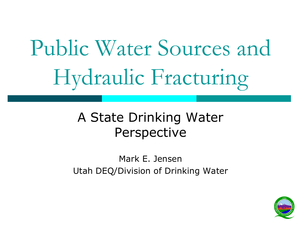# Public Water Sources and Hydraulic Fracturing

#### A State Drinking Water **Perspective**

Mark E. Jensen Utah DEQ/Division of Drinking Water

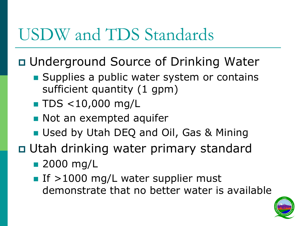### USDW and TDS Standards

Underground Source of Drinking Water

- Supplies a public water system or contains sufficient quantity (1 gpm)
- **TDS <10,000 mg/L**
- **Not an exempted aquifer**
- **Used by Utah DEQ and Oil, Gas & Mining**
- □ Utah drinking water primary standard
	- **2000 mg/L**
	- If  $>1000$  mg/L water supplier must demonstrate that no better water is available

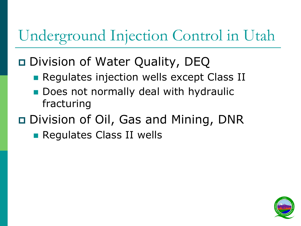#### Underground Injection Control in Utah

#### Division of Water Quality, DEQ

- **Regulates injection wells except Class II**
- Does not normally deal with hydraulic fracturing

#### Division of Oil, Gas and Mining, DNR

**Requiates Class II wells** 

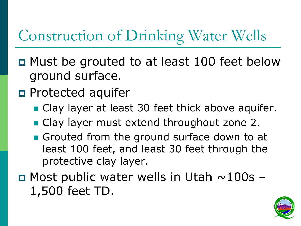#### Construction of Drinking Water Wells

- Must be grouted to at least 100 feet below ground surface.
- **D** Protected aquifer
	- Clay layer at least 30 feet thick above aquifer.
	- Clay layer must extend throughout zone 2.
	- Grouted from the ground surface down to at least 100 feet, and least 30 feet through the protective clay layer.
- $\Box$  Most public water wells in Utah  $\sim$ 100s 1,500 feet TD.

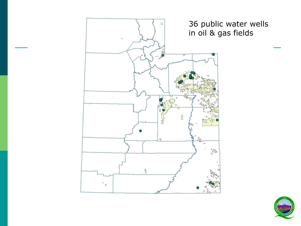

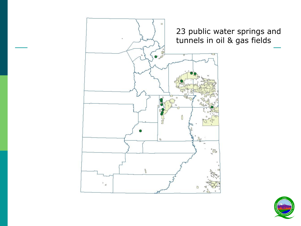

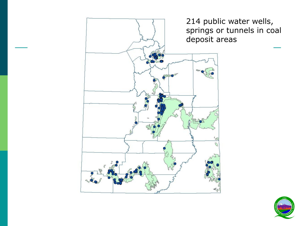

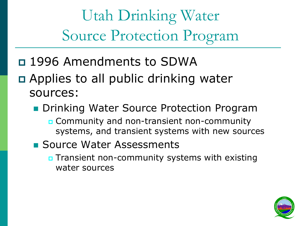Utah Drinking Water Source Protection Program

- 1996 Amendments to SDWA
- □ Applies to all public drinking water sources:
	- **Drinking Water Source Protection Program** 
		- **n** Community and non-transient non-community systems, and transient systems with new sources
	- **Source Water Assessments** 
		- **D** Transient non-community systems with existing water sources

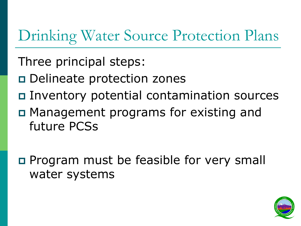#### Drinking Water Source Protection Plans

- Three principal steps:
- □ Delineate protection zones
- Inventory potential contamination sources
- □ Management programs for existing and future PCSs
- **Program must be feasible for very small** water systems

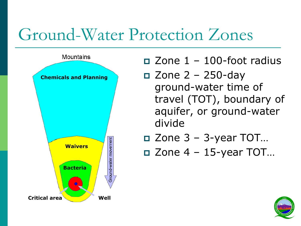#### Ground-Water Protection Zones



 $\Box$  Zone  $1 - 100$ -foot radius

 $\Box$  Zone 2 – 250-day ground-water time of travel (TOT), boundary of aquifer, or ground-water divide

$$
\Box
$$
 Zone 3 – 3-year TOT...

$$
\Box
$$
 Zone 4 – 15-year TOT...

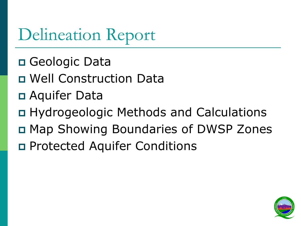### Delineation Report

- Geologic Data
- Well Construction Data
- Aquifer Data
- Hydrogeologic Methods and Calculations
- Map Showing Boundaries of DWSP Zones
- Protected Aquifer Conditions

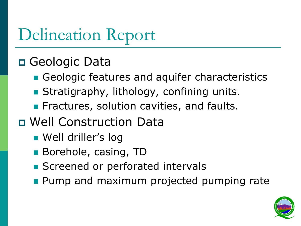### Delineation Report

#### Geologic Data

- Geologic features and aquifer characteristics
- **Stratigraphy, lithology, confining units.**
- **Fiactures, solution cavities, and faults.**
- Well Construction Data
	- **Nell driller's log**
	- Borehole, casing, TD
	- Screened or perforated intervals
	- **Pump and maximum projected pumping rate**

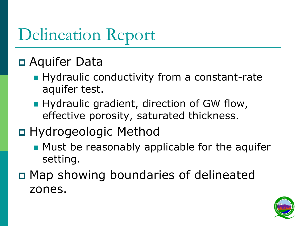### Delineation Report

#### Aquifer Data

- **Hydraulic conductivity from a constant-rate** aquifer test.
- **Hydraulic gradient, direction of GW flow,** effective porosity, saturated thickness.

#### Hydrogeologic Method

- **Must be reasonably applicable for the aquifer** setting.
- Map showing boundaries of delineated zones.

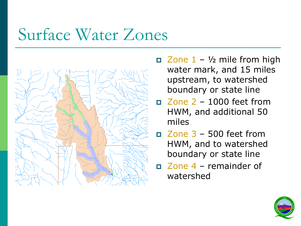### Surface Water Zones



- $\Box$  Zone  $1 \frac{1}{2}$  mile from high water mark, and 15 miles upstream, to watershed boundary or state line
- Zone 2 1000 feet from HWM, and additional 50 miles
- Zone 3 500 feet from HWM, and to watershed boundary or state line
- Zone 4 remainder of watershed

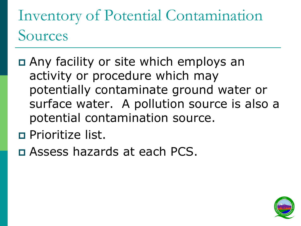Inventory of Potential Contamination Sources

- Any facility or site which employs an activity or procedure which may potentially contaminate ground water or surface water. A pollution source is also a potential contamination source.
- **Prioritize list.**
- Assess hazards at each PCS.

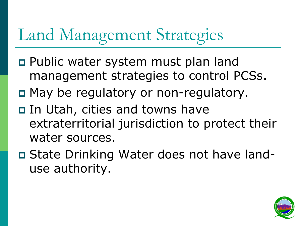## Land Management Strategies

- Public water system must plan land management strategies to control PCSs.
- □ May be regulatory or non-regulatory.
- □ In Utah, cities and towns have extraterritorial jurisdiction to protect their water sources.
- □ State Drinking Water does not have landuse authority.

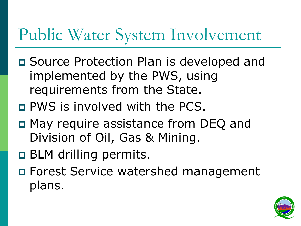### Public Water System Involvement

- Source Protection Plan is developed and implemented by the PWS, using requirements from the State.
- PWS is involved with the PCS.
- **n** May require assistance from DEQ and Division of Oil, Gas & Mining.
- $\Box$  BLM drilling permits.
- Forest Service watershed management plans.

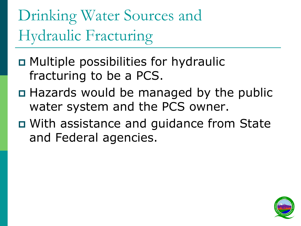Drinking Water Sources and Hydraulic Fracturing

- Multiple possibilities for hydraulic fracturing to be a PCS.
- Hazards would be managed by the public water system and the PCS owner.
- With assistance and guidance from State and Federal agencies.